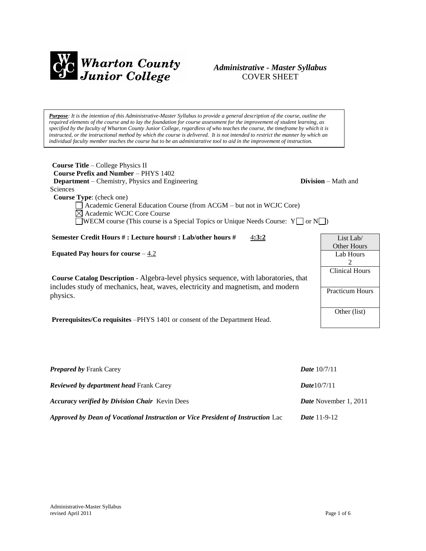

## *Administrative - Master Syllabus*  COVER SHEET

*Purpose: It is the intention of this Administrative-Master Syllabus to provide a general description of the course, outline the required elements of the course and to lay the foundation for course assessment for the improvement of student learning, as specified by the faculty of Wharton County Junior College, regardless of who teaches the course, the timeframe by which it is instructed, or the instructional method by which the course is delivered. It is not intended to restrict the manner by which an individual faculty member teaches the course but to be an administrative tool to aid in the improvement of instruction.*

| <b>Course Title</b> – College Physics II                                               |                              |
|----------------------------------------------------------------------------------------|------------------------------|
| <b>Course Prefix and Number – PHYS 1402</b>                                            |                              |
| <b>Department</b> – Chemistry, Physics and Engineering                                 | <b>Division</b> $-$ Math and |
| Sciences                                                                               |                              |
| <b>Course Type:</b> (check one)                                                        |                              |
| Academic General Education Course (from ACGM - but not in WCJC Core)                   |                              |
| $\boxtimes$ Academic WCJC Core Course                                                  |                              |
| <b>NECM</b> course (This course is a Special Topics or Unique Needs Course: $Y \cap Y$ |                              |
|                                                                                        |                              |

**Semester Credit Hours # : Lecture hours# : Lab/other hours #** 4**:3:2**

**Equated Pay hours for course**  $-4.2$ 

**Course Catalog Description** - Algebra-level physics sequence, with laboratories, that includes study of mechanics, heat, waves, electricity and magnetism, and modern physics.

**Prerequisites/Co requisites** –PHYS 1401 or consent of the Department Head.

| LISE LAD/              |  |
|------------------------|--|
| Other Hours            |  |
| Lab Hours              |  |
| 2                      |  |
| <b>Clinical Hours</b>  |  |
|                        |  |
| <b>Practicum Hours</b> |  |
| Other (list)           |  |

 $\mathbf{r}$   $\mathbf{r}$   $\mathbf{r}$   $\mathbf{r}$   $\mathbf{r}$ 

Г

| <b>Prepared by Frank Carey</b>                                                  | <b>Date</b> $10/7/11$        |
|---------------------------------------------------------------------------------|------------------------------|
| <b>Reviewed by department head Frank Carey</b>                                  | <b>Date</b> $10/7/11$        |
| <b>Accuracy verified by Division Chair</b> Kevin Dees                           | <b>Date</b> November 1, 2011 |
| Approved by Dean of Vocational Instruction or Vice President of Instruction Lac | <i>Date</i> 11-9-12          |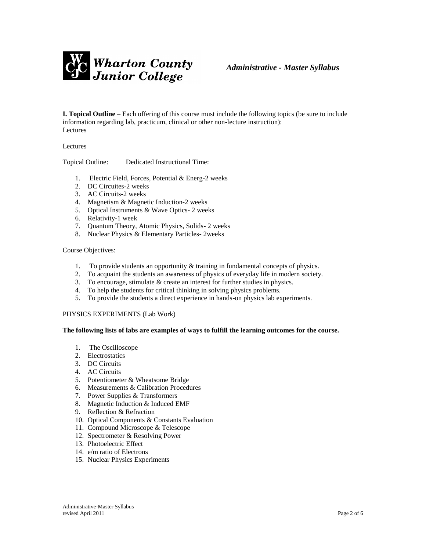

**I. Topical Outline** – Each offering of this course must include the following topics (be sure to include information regarding lab, practicum, clinical or other non-lecture instruction): Lectures

Lectures

Topical Outline: Dedicated Instructional Time:

- 1. Electric Field, Forces, Potential & Energ-2 weeks
- 2. DC Circuites-2 weeks
- 3. AC Circuits-2 weeks
- 4. Magnetism & Magnetic Induction-2 weeks
- 5. Optical Instruments & Wave Optics- 2 weeks
- 6. Relativity-1 week
- 7. Quantum Theory, Atomic Physics, Solids- 2 weeks
- 8. Nuclear Physics & Elementary Particles- 2weeks

### Course Objectives:

- 1. To provide students an opportunity & training in fundamental concepts of physics.
- 2. To acquaint the students an awareness of physics of everyday life in modern society.
- 3. To encourage, stimulate & create an interest for further studies in physics.
- 4. To help the students for critical thinking in solving physics problems.
- 5. To provide the students a direct experience in hands-on physics lab experiments.

#### PHYSICS EXPERIMENTS (Lab Work)

#### **The following lists of labs are examples of ways to fulfill the learning outcomes for the course.**

- 1. The Oscilloscope
- 2. Electrostatics
- 3. DC Circuits
- 4. AC Circuits
- 5. Potentiometer & Wheatsome Bridge
- 6. Measurements & Calibration Procedures
- 7. Power Supplies & Transformers
- 8. Magnetic Induction & Induced EMF
- 9. Reflection & Refraction
- 10. Optical Components & Constants Evaluation
- 11. Compound Microscope & Telescope
- 12. Spectrometer & Resolving Power
- 13. Photoelectric Effect
- 14. e/m ratio of Electrons
- 15. Nuclear Physics Experiments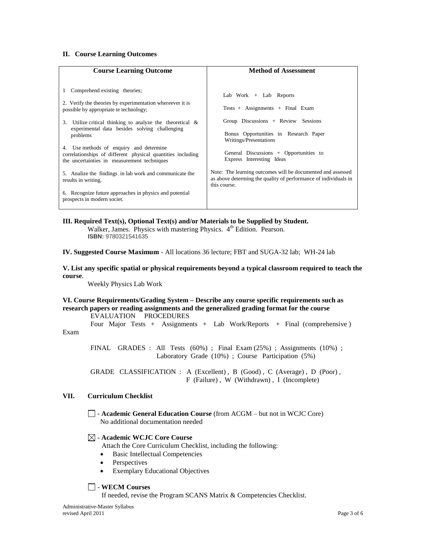### **II. Course Learning Outcomes**

| <b>Course Learning Outcome</b>                                                                                                                                                                                                                                                                                                                                                                                                                                                                                                                                                                            | <b>Method of Assessment</b>                                                                                                                                                                                                                                                                                                                                                                       |
|-----------------------------------------------------------------------------------------------------------------------------------------------------------------------------------------------------------------------------------------------------------------------------------------------------------------------------------------------------------------------------------------------------------------------------------------------------------------------------------------------------------------------------------------------------------------------------------------------------------|---------------------------------------------------------------------------------------------------------------------------------------------------------------------------------------------------------------------------------------------------------------------------------------------------------------------------------------------------------------------------------------------------|
| Comprehend existing theories;<br>2. Verify the theories by experimentation whereever it is<br>possible by appropriate te technology;<br>Utilize critical thinking to analyze the theoretical $\&$<br>3.<br>experimental data besides solving challenging<br>problems<br>4. Use methods of enquiry and determine<br>correlationships of different physical quantities including<br>the uncertainties in measurement techniques<br>5. Analize the findings in lab work and communicate the<br>results in writing.<br>6. Recognize future approaches in physics and potential<br>prospects in modern societ. | Lab Work $+$ Lab Reports<br>Tests + Assignments + Final Exam<br>Group Discussions + Review Sessions<br>Bonus Opportunities in Research Paper<br>Writings/Presentations<br>General Discussions $+$ Opportunities to<br>Express Interesting Ideas<br>Note: The learning outcomes will be documented and assessed<br>as above determing the quality of performance of individuals in<br>this course. |

## **III. Required Text(s), Optional Text(s) and/or Materials to be Supplied by Student.**

Walker, James. Physics with mastering Physics. 4<sup>th</sup> Edition. Pearson. **ISBN:** 9780321541635

**IV. Suggested Course Maximum** - All locations 36 lecture; FBT and SUGA-32 lab; WH-24 lab

**V. List any specific spatial or physical requirements beyond a typical classroom required to teach the course**.

Weekly Physics Lab Work

### **VI. Course Requirements/Grading System – Describe any course specific requirements such as research papers or reading assignments and the generalized grading format for the course** EVALUATION PROCEDURES

Four Major Tests + Assignments + Lab Work/Reports + Final (comprehensive )

Exam

FINAL GRADES : All Tests (60%) ; Final Exam (25%) ; Assignments (10%) ; Laboratory Grade (10%) ; Course Participation (5%)

GRADE CLASSIFICATION : A (Excellent), B (Good), C (Average), D (Poor), F (Failure) , W (Withdrawn) , I (Incomplete)

### **VII. Curriculum Checklist**

- **Academic General Education Course** (from ACGM – but not in WCJC Core) No additional documentation needed

## - **Academic WCJC Core Course**

- Attach the Core Curriculum Checklist, including the following:
- Basic Intellectual Competencies
- Perspectives
- Exemplary Educational Objectives

### - **WECM Courses**

If needed, revise the Program SCANS Matrix & Competencies Checklist.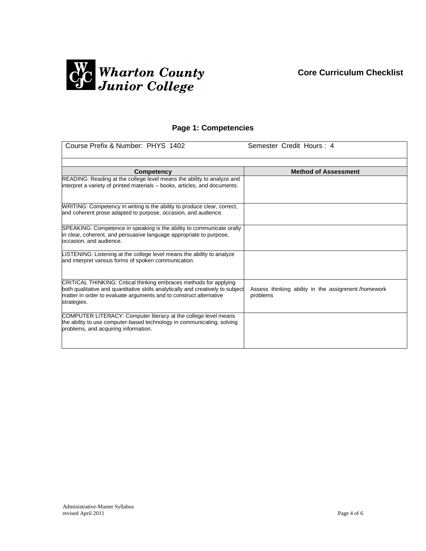# **Core Curriculum Checklist**



# **Page 1: Competencies**

| Course Prefix & Number: PHYS 1402                                                                                                                                    | Semester Credit Hours: 4                                       |
|----------------------------------------------------------------------------------------------------------------------------------------------------------------------|----------------------------------------------------------------|
|                                                                                                                                                                      | <b>Method of Assessment</b>                                    |
| <b>Competency</b><br>READING: Reading at the college level means the ability to analyze and                                                                          |                                                                |
| interpret a variety of printed materials - books, articles, and documents.                                                                                           |                                                                |
| WRITING: Competency in writing is the ability to produce clear, correct,                                                                                             |                                                                |
| and coherent prose adapted to purpose, occasion, and audience.                                                                                                       |                                                                |
| SPEAKING: Competence in speaking is the ability to communicate orally                                                                                                |                                                                |
| in clear, coherent, and persuasive language appropriate to purpose,<br>occasion, and audience.                                                                       |                                                                |
| LISTENING: Listening at the college level means the ability to analyze<br>and interpret various forms of spoken communication.                                       |                                                                |
| CRITICAL THINKING: Critical thinking embraces methods for applying                                                                                                   |                                                                |
| both qualitative and quantitative skills analytically and creatively to subject<br>matter in order to evaluate arguments and to construct alternative<br>strategies. | Assess thinking ability in the assignment/homework<br>problems |
| COMPUTER LITERACY: Computer literacy at the college level means                                                                                                      |                                                                |
| the ability to use computer-based technology in communicating, solving<br>problems, and acquiring information.                                                       |                                                                |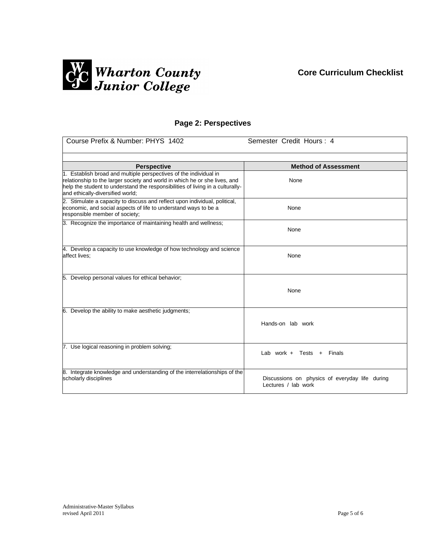# **Core Curriculum Checklist**



## **Page 2: Perspectives**

| Course Prefix & Number: PHYS 1402                                                                                                                                                                                                                                                           | Semester Credit Hours: 4                                              |
|---------------------------------------------------------------------------------------------------------------------------------------------------------------------------------------------------------------------------------------------------------------------------------------------|-----------------------------------------------------------------------|
|                                                                                                                                                                                                                                                                                             |                                                                       |
| <b>Perspective</b><br>1. Establish broad and multiple perspectives of the individual in<br>relationship to the larger society and world in which he or she lives, and<br>help the student to understand the responsibilities of living in a culturally-<br>and ethically-diversified world; | <b>Method of Assessment</b><br>None                                   |
| 2. Stimulate a capacity to discuss and reflect upon individual, political,<br>economic, and social aspects of life to understand ways to be a<br>responsible member of society;                                                                                                             | None                                                                  |
| 3. Recognize the importance of maintaining health and wellness;                                                                                                                                                                                                                             | None                                                                  |
| 4. Develop a capacity to use knowledge of how technology and science<br>affect lives;                                                                                                                                                                                                       | None                                                                  |
| 5. Develop personal values for ethical behavior;                                                                                                                                                                                                                                            | None                                                                  |
| 6. Develop the ability to make aesthetic judgments;                                                                                                                                                                                                                                         | Hands-on lab work                                                     |
| 7. Use logical reasoning in problem solving;                                                                                                                                                                                                                                                | Lab work + Tests +<br>Finals                                          |
| 8. Integrate knowledge and understanding of the interrelationships of the<br>scholarly disciplines                                                                                                                                                                                          | Discussions on physics of everyday life during<br>Lectures / lab work |